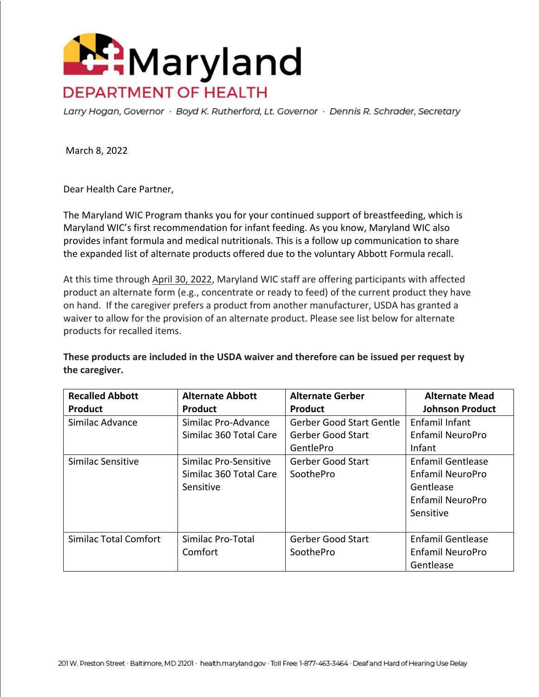

Larry Hogan, Governor · Boyd K. Rutherford, Lt. Governor · Dennis R. Schrader, Secretary

March 8, 2022

Dear Health Care Partner,

The Maryland WIC Program thanks you for your continued support of breastfeeding, which is Maryland WIC's first recommendation for infant feeding. As you know, Maryland WIC also provides infant formula and medical nutritionals. This is a follow up communication to share the expanded list of alternate products offered due to the voluntary Abbott Formula recall.

At this time through April 30, 2022, Maryland WIC staff are offering participants with affected product an alternate form (e.g., concentrate or ready to feed) of the current product they have on hand. If the caregiver prefers a product from another manufacturer, USDA has granted a waiver to allow for the provision of an alternate product. Please see list below for alternate products for recalled items.

**These products are included in the USDA waiver and therefore can be issued per request by the caregiver.**

| <b>Recalled Abbott</b><br><b>Product</b> | <b>Alternate Abbott</b><br>Product                           | <b>Alternate Gerber</b><br>Product                                       | <b>Alternate Mead</b><br><b>Johnson Product</b>                                                   |
|------------------------------------------|--------------------------------------------------------------|--------------------------------------------------------------------------|---------------------------------------------------------------------------------------------------|
| Similac Advance                          | Similac Pro-Advance<br>Similac 360 Total Care                | <b>Gerber Good Start Gentle</b><br><b>Gerber Good Start</b><br>GentlePro | Enfamil Infant<br><b>Enfamil NeuroPro</b><br>Infant                                               |
| Similac Sensitive                        | Similac Pro-Sensitive<br>Similac 360 Total Care<br>Sensitive | <b>Gerber Good Start</b><br>SoothePro                                    | <b>Enfamil Gentlease</b><br><b>Enfamil NeuroPro</b><br>Gentlease<br>Enfamil NeuroPro<br>Sensitive |
| Similac Total Comfort                    | Similac Pro-Total<br>Comfort                                 | <b>Gerber Good Start</b><br>SoothePro                                    | <b>Enfamil Gentlease</b><br><b>Enfamil NeuroPro</b><br>Gentlease                                  |